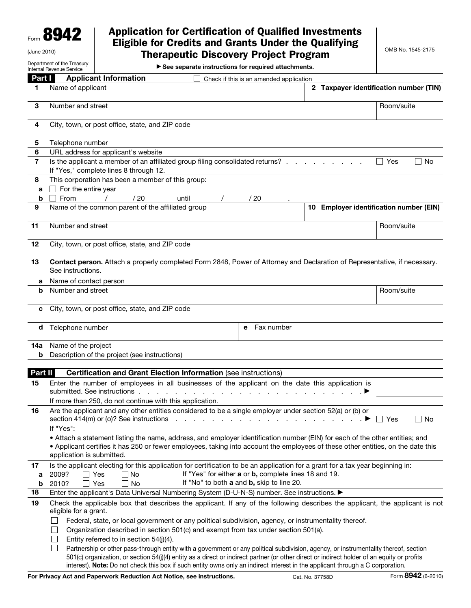Form 8942

## Application for Certification of Qualified Investments Eligible for Credits and Grants Under the Qualifying Therapeutic Discovery Project Program

Department of the Treasury

(June 2010)

▶ See separate instructions for required attachments.

|                | $\blacktriangleright$ see separate instructions for required attachments.<br>Internal Revenue Service                                                                                                                                                                                                                                                                                                                 |                                                           |    |
|----------------|-----------------------------------------------------------------------------------------------------------------------------------------------------------------------------------------------------------------------------------------------------------------------------------------------------------------------------------------------------------------------------------------------------------------------|-----------------------------------------------------------|----|
| Part I         | <b>Applicant Information</b><br>Check if this is an amended application                                                                                                                                                                                                                                                                                                                                               |                                                           |    |
| 1.             | Name of applicant                                                                                                                                                                                                                                                                                                                                                                                                     | 2 Taxpayer identification number (TIN)                    |    |
| 3              | Number and street                                                                                                                                                                                                                                                                                                                                                                                                     | Room/suite                                                |    |
| 4              | City, town, or post office, state, and ZIP code                                                                                                                                                                                                                                                                                                                                                                       |                                                           |    |
| 5              | Telephone number                                                                                                                                                                                                                                                                                                                                                                                                      |                                                           |    |
| 6              | URL address for applicant's website                                                                                                                                                                                                                                                                                                                                                                                   |                                                           |    |
| $\overline{7}$ | Is the applicant a member of an affiliated group filing consolidated returns?<br>If "Yes," complete lines 8 through 12.                                                                                                                                                                                                                                                                                               | $\Box$ Yes                                                | No |
| 8              | This corporation has been a member of this group:                                                                                                                                                                                                                                                                                                                                                                     |                                                           |    |
| a              | $\Box$ For the entire year                                                                                                                                                                                                                                                                                                                                                                                            |                                                           |    |
| b              | $\Box$ From<br>/20<br>$\sqrt{2}$<br>until<br>/20                                                                                                                                                                                                                                                                                                                                                                      |                                                           |    |
| 9              | Name of the common parent of the affiliated group                                                                                                                                                                                                                                                                                                                                                                     | 10 Employer identification number (EIN)                   |    |
| 11             | Number and street                                                                                                                                                                                                                                                                                                                                                                                                     | Room/suite                                                |    |
| 12             | City, town, or post office, state, and ZIP code                                                                                                                                                                                                                                                                                                                                                                       |                                                           |    |
| 13             | Contact person. Attach a properly completed Form 2848, Power of Attorney and Declaration of Representative, if necessary.<br>See instructions.                                                                                                                                                                                                                                                                        |                                                           |    |
| а              | Name of contact person                                                                                                                                                                                                                                                                                                                                                                                                |                                                           |    |
| b              | Number and street                                                                                                                                                                                                                                                                                                                                                                                                     | Room/suite                                                |    |
| c              | City, town, or post office, state, and ZIP code                                                                                                                                                                                                                                                                                                                                                                       |                                                           |    |
| d              | Fax number<br>Telephone number<br>e                                                                                                                                                                                                                                                                                                                                                                                   |                                                           |    |
| 14a            | Name of the project                                                                                                                                                                                                                                                                                                                                                                                                   |                                                           |    |
| b              | Description of the project (see instructions)                                                                                                                                                                                                                                                                                                                                                                         |                                                           |    |
| Part II        | <b>Certification and Grant Election Information (see instructions)</b>                                                                                                                                                                                                                                                                                                                                                |                                                           |    |
| 15             | Enter the number of employees in all businesses of the applicant on the date this application is<br>submitted. See instructions .                                                                                                                                                                                                                                                                                     |                                                           |    |
|                | If more than 250, do not continue with this application.                                                                                                                                                                                                                                                                                                                                                              |                                                           |    |
| 16             | Are the applicant and any other entities considered to be a single employer under section 52(a) or (b) or<br>If "Yes":                                                                                                                                                                                                                                                                                                | $\blacktriangleright \Box$ Yes<br>$\sim$ $\sim$<br>$\sim$ | No |
|                | • Attach a statement listing the name, address, and employer identification number (EIN) for each of the other entities; and<br>. Applicant certifies it has 250 or fewer employees, taking into account the employees of these other entities, on the date this<br>application is submitted.                                                                                                                         |                                                           |    |
| 17<br>а        | Is the applicant electing for this application for certification to be an application for a grant for a tax year beginning in:<br>If "Yes" for either a or b, complete lines 18 and 19.<br>2009?<br>∣∣ Yes<br>∣ No                                                                                                                                                                                                    |                                                           |    |
| b              | If "No" to both a and b, skip to line 20.<br>2010?<br>Yes<br>No<br>$\blacksquare$                                                                                                                                                                                                                                                                                                                                     |                                                           |    |
| 18             | Enter the applicant's Data Universal Numbering System (D-U-N-S) number. See instructions. ▶                                                                                                                                                                                                                                                                                                                           |                                                           |    |
| 19             | Check the applicable box that describes the applicant. If any of the following describes the applicant, the applicant is not<br>eligible for a grant.                                                                                                                                                                                                                                                                 |                                                           |    |
|                | Federal, state, or local government or any political subdivision, agency, or instrumentality thereof.<br>Organization described in section 501(c) and exempt from tax under section 501(a).<br>Entity referred to in section 54(j)(4).                                                                                                                                                                                |                                                           |    |
|                | Partnership or other pass-through entity with a government or any political subdivision, agency, or instrumentality thereof, section<br>501(c) organization, or section 54(j)(4) entity as a direct or indirect partner (or other direct or indirect holder of an equity or profits<br>interest). Note: Do not check this box if such entity owns only an indirect interest in the applicant through a C corporation. |                                                           |    |